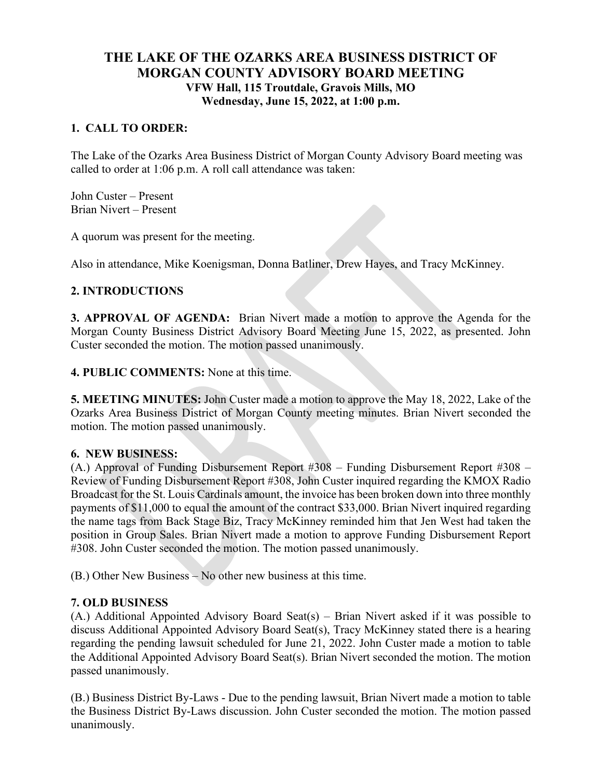# **THE LAKE OF THE OZARKS AREA BUSINESS DISTRICT OF MORGAN COUNTY ADVISORY BOARD MEETING VFW Hall, 115 Troutdale, Gravois Mills, MO Wednesday, June 15, 2022, at 1:00 p.m.**

## **1. CALL TO ORDER:**

The Lake of the Ozarks Area Business District of Morgan County Advisory Board meeting was called to order at 1:06 p.m. A roll call attendance was taken:

John Custer – Present Brian Nivert – Present

A quorum was present for the meeting.

Also in attendance, Mike Koenigsman, Donna Batliner, Drew Hayes, and Tracy McKinney.

### **2. INTRODUCTIONS**

**3. APPROVAL OF AGENDA:** Brian Nivert made a motion to approve the Agenda for the Morgan County Business District Advisory Board Meeting June 15, 2022, as presented. John Custer seconded the motion. The motion passed unanimously.

**4. PUBLIC COMMENTS:** None at this time.

**5. MEETING MINUTES:** John Custer made a motion to approve the May 18, 2022, Lake of the Ozarks Area Business District of Morgan County meeting minutes. Brian Nivert seconded the motion. The motion passed unanimously.

#### **6. NEW BUSINESS:**

(A.) Approval of Funding Disbursement Report #308 – Funding Disbursement Report #308 – Review of Funding Disbursement Report #308, John Custer inquired regarding the KMOX Radio Broadcast for the St. Louis Cardinals amount, the invoice has been broken down into three monthly payments of \$11,000 to equal the amount of the contract \$33,000. Brian Nivert inquired regarding the name tags from Back Stage Biz, Tracy McKinney reminded him that Jen West had taken the position in Group Sales. Brian Nivert made a motion to approve Funding Disbursement Report #308. John Custer seconded the motion. The motion passed unanimously.

(B.) Other New Business – No other new business at this time.

## **7. OLD BUSINESS**

(A.) Additional Appointed Advisory Board Seat(s) – Brian Nivert asked if it was possible to discuss Additional Appointed Advisory Board Seat(s), Tracy McKinney stated there is a hearing regarding the pending lawsuit scheduled for June 21, 2022. John Custer made a motion to table the Additional Appointed Advisory Board Seat(s). Brian Nivert seconded the motion. The motion passed unanimously.

(B.) Business District By-Laws - Due to the pending lawsuit, Brian Nivert made a motion to table the Business District By-Laws discussion. John Custer seconded the motion. The motion passed unanimously.